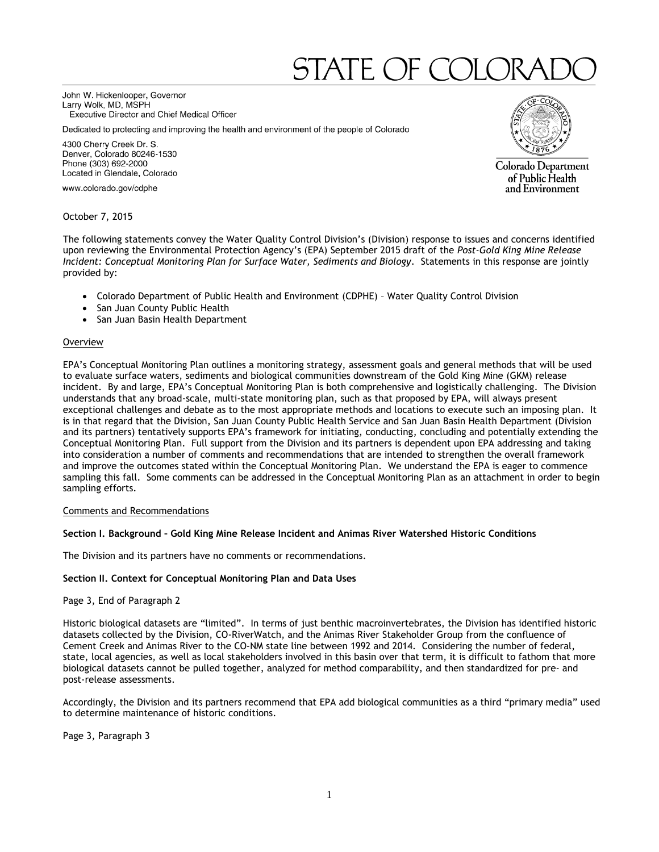# STATE OF CC

John W. Hickenlooper, Governor Larry Wolk, MD, MSPH Executive Director and Chief Medical Officer

Dedicated to protecting and improving the health and environment of the people of Colorado

4300 Cherry Creek Dr. S. Denver, Colorado 80246-1530 Phone (303) 692-2000 Located in Glendale, Colorado

www.colorado.gov/cdphe

October 7, 2015

The following statements convey the Water Quality Control Division's (Division) response to issues and concerns identified upon reviewing the Environmental Protection Agency's (EPA) September 2015 draft of the *Post-Gold King Mine Release Incident: Conceptual Monitoring Plan for Surface Water, Sediments and Biology*. Statements in this response are jointly provided by:

- Colorado Department of Public Health and Environment (CDPHE) Water Quality Control Division
- San Juan County Public Health
- San Juan Basin Health Department

#### Overview

EPA's Conceptual Monitoring Plan outlines a monitoring strategy, assessment goals and general methods that will be used to evaluate surface waters, sediments and biological communities downstream of the Gold King Mine (GKM) release incident. By and large, EPA's Conceptual Monitoring Plan is both comprehensive and logistically challenging. The Division understands that any broad-scale, multi-state monitoring plan, such as that proposed by EPA, will always present exceptional challenges and debate as to the most appropriate methods and locations to execute such an imposing plan. It is in that regard that the Division, San Juan County Public Health Service and San Juan Basin Health Department (Division and its partners) tentatively supports EPA's framework for initiating, conducting, concluding and potentially extending the Conceptual Monitoring Plan. Full support from the Division and its partners is dependent upon EPA addressing and taking into consideration a number of comments and recommendations that are intended to strengthen the overall framework and improve the outcomes stated within the Conceptual Monitoring Plan. We understand the EPA is eager to commence sampling this fall. Some comments can be addressed in the Conceptual Monitoring Plan as an attachment in order to begin sampling efforts.

#### Comments and Recommendations

#### **Section I. Background – Gold King Mine Release Incident and Animas River Watershed Historic Conditions**

The Division and its partners have no comments or recommendations.

#### **Section II. Context for Conceptual Monitoring Plan and Data Uses**

#### Page 3, End of Paragraph 2

Historic biological datasets are "limited". In terms of just benthic macroinvertebrates, the Division has identified historic datasets collected by the Division, CO-RiverWatch, and the Animas River Stakeholder Group from the confluence of Cement Creek and Animas River to the CO-NM state line between 1992 and 2014. Considering the number of federal, state, local agencies, as well as local stakeholders involved in this basin over that term, it is difficult to fathom that more biological datasets cannot be pulled together, analyzed for method comparability, and then standardized for pre- and post-release assessments.

Accordingly, the Division and its partners recommend that EPA add biological communities as a third "primary media" used to determine maintenance of historic conditions.

Page 3, Paragraph 3



Colorado Department of Public Health and Environment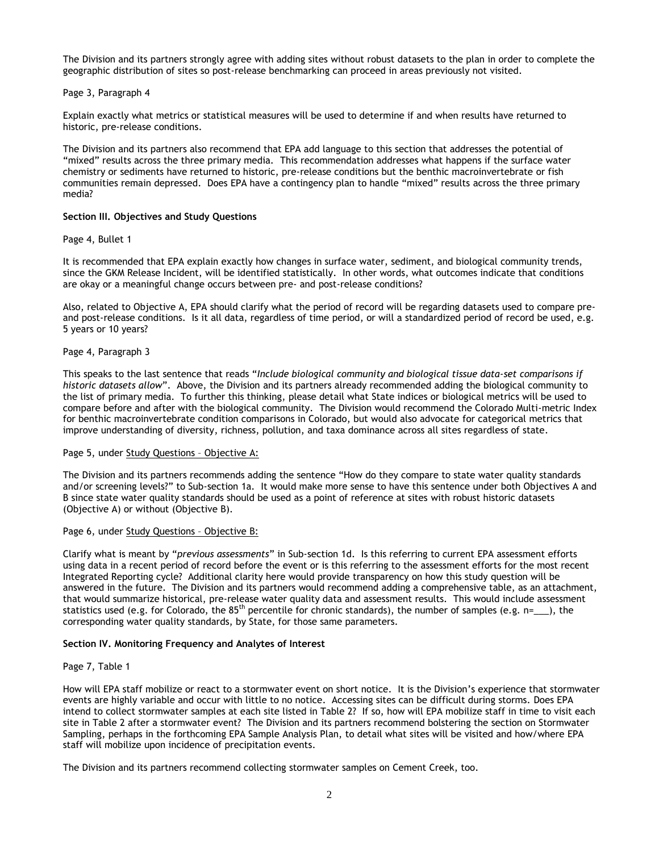The Division and its partners strongly agree with adding sites without robust datasets to the plan in order to complete the geographic distribution of sites so post-release benchmarking can proceed in areas previously not visited.

# Page 3, Paragraph 4

Explain exactly what metrics or statistical measures will be used to determine if and when results have returned to historic, pre-release conditions.

The Division and its partners also recommend that EPA add language to this section that addresses the potential of "mixed" results across the three primary media. This recommendation addresses what happens if the surface water chemistry or sediments have returned to historic, pre-release conditions but the benthic macroinvertebrate or fish communities remain depressed. Does EPA have a contingency plan to handle "mixed" results across the three primary media?

## **Section III. Objectives and Study Questions**

## Page 4, Bullet 1

It is recommended that EPA explain exactly how changes in surface water, sediment, and biological community trends, since the GKM Release Incident, will be identified statistically. In other words, what outcomes indicate that conditions are okay or a meaningful change occurs between pre- and post-release conditions?

Also, related to Objective A, EPA should clarify what the period of record will be regarding datasets used to compare preand post-release conditions. Is it all data, regardless of time period, or will a standardized period of record be used, e.g. 5 years or 10 years?

## Page 4, Paragraph 3

This speaks to the last sentence that reads "*Include biological community and biological tissue data-set comparisons if historic datasets allow*". Above, the Division and its partners already recommended adding the biological community to the list of primary media. To further this thinking, please detail what State indices or biological metrics will be used to compare before and after with the biological community. The Division would recommend the Colorado Multi-metric Index for benthic macroinvertebrate condition comparisons in Colorado, but would also advocate for categorical metrics that improve understanding of diversity, richness, pollution, and taxa dominance across all sites regardless of state.

#### Page 5, under Study Questions – Objective A:

The Division and its partners recommends adding the sentence "How do they compare to state water quality standards and/or screening levels?" to Sub-section 1a. It would make more sense to have this sentence under both Objectives A and B since state water quality standards should be used as a point of reference at sites with robust historic datasets (Objective A) or without (Objective B).

# Page 6, under Study Questions – Objective B:

Clarify what is meant by "*previous assessments*" in Sub-section 1d. Is this referring to current EPA assessment efforts using data in a recent period of record before the event or is this referring to the assessment efforts for the most recent Integrated Reporting cycle? Additional clarity here would provide transparency on how this study question will be answered in the future. The Division and its partners would recommend adding a comprehensive table, as an attachment, that would summarize historical, pre-release water quality data and assessment results. This would include assessment statistics used (e.g. for Colorado, the 85<sup>th</sup> percentile for chronic standards), the number of samples (e.g. n=\_\_), the corresponding water quality standards, by State, for those same parameters.

#### **Section IV. Monitoring Frequency and Analytes of Interest**

#### Page 7, Table 1

How will EPA staff mobilize or react to a stormwater event on short notice. It is the Division's experience that stormwater events are highly variable and occur with little to no notice. Accessing sites can be difficult during storms. Does EPA intend to collect stormwater samples at each site listed in Table 2? If so, how will EPA mobilize staff in time to visit each site in Table 2 after a stormwater event? The Division and its partners recommend bolstering the section on Stormwater Sampling, perhaps in the forthcoming EPA Sample Analysis Plan, to detail what sites will be visited and how/where EPA staff will mobilize upon incidence of precipitation events.

The Division and its partners recommend collecting stormwater samples on Cement Creek, too.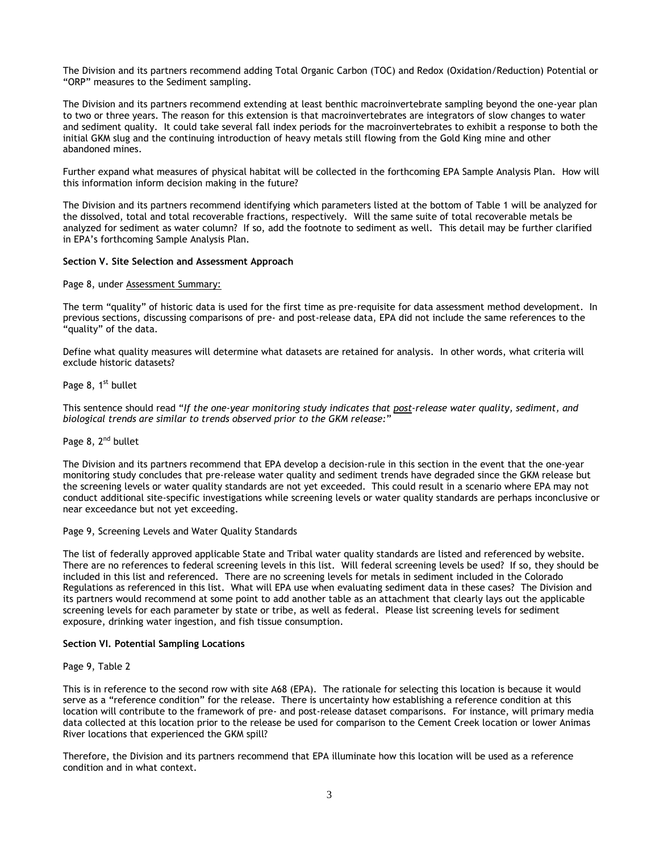The Division and its partners recommend adding Total Organic Carbon (TOC) and Redox (Oxidation/Reduction) Potential or "ORP" measures to the Sediment sampling.

The Division and its partners recommend extending at least benthic macroinvertebrate sampling beyond the one-year plan to two or three years. The reason for this extension is that macroinvertebrates are integrators of slow changes to water and sediment quality. It could take several fall index periods for the macroinvertebrates to exhibit a response to both the initial GKM slug and the continuing introduction of heavy metals still flowing from the Gold King mine and other abandoned mines.

Further expand what measures of physical habitat will be collected in the forthcoming EPA Sample Analysis Plan. How will this information inform decision making in the future?

The Division and its partners recommend identifying which parameters listed at the bottom of Table 1 will be analyzed for the dissolved, total and total recoverable fractions, respectively. Will the same suite of total recoverable metals be analyzed for sediment as water column? If so, add the footnote to sediment as well. This detail may be further clarified in EPA's forthcoming Sample Analysis Plan.

## **Section V. Site Selection and Assessment Approach**

## Page 8, under Assessment Summary:

The term "quality" of historic data is used for the first time as pre-requisite for data assessment method development. In previous sections, discussing comparisons of pre- and post-release data, EPA did not include the same references to the "quality" of the data.

Define what quality measures will determine what datasets are retained for analysis. In other words, what criteria will exclude historic datasets?

# Page 8, 1<sup>st</sup> bullet

This sentence should read "*If the one-year monitoring study indicates that post-release water quality, sediment, and biological trends are similar to trends observed prior to the GKM release:*"

# Page 8, 2<sup>nd</sup> bullet

The Division and its partners recommend that EPA develop a decision-rule in this section in the event that the one-year monitoring study concludes that pre-release water quality and sediment trends have degraded since the GKM release but the screening levels or water quality standards are not yet exceeded. This could result in a scenario where EPA may not conduct additional site-specific investigations while screening levels or water quality standards are perhaps inconclusive or near exceedance but not yet exceeding.

# Page 9, Screening Levels and Water Quality Standards

The list of federally approved applicable State and Tribal water quality standards are listed and referenced by website. There are no references to federal screening levels in this list. Will federal screening levels be used? If so, they should be included in this list and referenced. There are no screening levels for metals in sediment included in the Colorado Regulations as referenced in this list. What will EPA use when evaluating sediment data in these cases? The Division and its partners would recommend at some point to add another table as an attachment that clearly lays out the applicable screening levels for each parameter by state or tribe, as well as federal. Please list screening levels for sediment exposure, drinking water ingestion, and fish tissue consumption.

#### **Section VI. Potential Sampling Locations**

# Page 9, Table 2

This is in reference to the second row with site A68 (EPA). The rationale for selecting this location is because it would serve as a "reference condition" for the release. There is uncertainty how establishing a reference condition at this location will contribute to the framework of pre- and post-release dataset comparisons. For instance, will primary media data collected at this location prior to the release be used for comparison to the Cement Creek location or lower Animas River locations that experienced the GKM spill?

Therefore, the Division and its partners recommend that EPA illuminate how this location will be used as a reference condition and in what context.